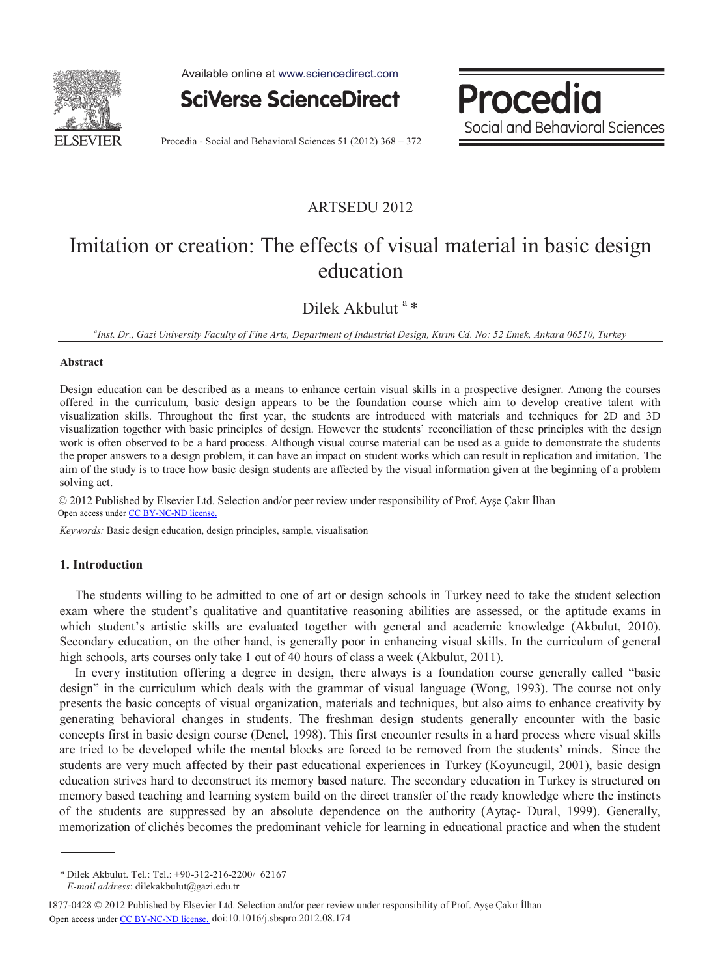

Available online at www.sciencedirect.com



**Procedia** Social and Behavioral Sciences

Procedia - Social and Behavioral Sciences 51 (2012) 368 - 372

### ARTSEDU 2012

# Imitation or creation: The effects of visual material in basic design education

## Dilek Akbulut<sup>a</sup>\*

*a Inst. Dr., Gazi University Faculty of Fine Arts, Department of Industrial Design, KÕrÕm Cd. No: 52 Emek, Ankara 06510, Turkey*

#### **Abstract**

Design education can be described as a means to enhance certain visual skills in a prospective designer. Among the courses offered in the curriculum, basic design appears to be the foundation course which aim to develop creative talent with visualization skills. Throughout the first year, the students are introduced with materials and techniques for 2D and 3D visualization together with basic principles of design. However the students' reconciliation of these principles with the design work is often observed to be a hard process. Although visual course material can be used as a guide to demonstrate the students the proper answers to a design problem, it can have an impact on student works which can result in replication and imitation. The aim of the study is to trace how basic design students are affected by the visual information given at the beginning of a problem solving act.

© 2012 Published by Elsevier Ltd. Selection and/or peer review under responsibility of Prof. Ayşe Çakır İlhan Open access under [CC BY-NC-ND license](http://creativecommons.org/licenses/by-nc-nd/3.0/).

*Keywords:* Basic design education, design principles, sample, visualisation

#### **1. Introduction**

The students willing to be admitted to one of art or design schools in Turkey need to take the student selection exam where the student's qualitative and quantitative reasoning abilities are assessed, or the aptitude exams in which student's artistic skills are evaluated together with general and academic knowledge (Akbulut, 2010). Secondary education, on the other hand, is generally poor in enhancing visual skills. In the curriculum of general high schools, arts courses only take 1 out of 40 hours of class a week (Akbulut, 2011).

In every institution offering a degree in design, there always is a foundation course generally called "basic design" in the curriculum which deals with the grammar of visual language (Wong, 1993). The course not only presents the basic concepts of visual organization, materials and techniques, but also aims to enhance creativity by generating behavioral changes in students. The freshman design students generally encounter with the basic concepts first in basic design course (Denel, 1998). This first encounter results in a hard process where visual skills are tried to be developed while the mental blocks are forced to be removed from the students' minds. Since the students are very much affected by their past educational experiences in Turkey (Koyuncugil, 2001), basic design education strives hard to deconstruct its memory based nature. The secondary education in Turkey is structured on memory based teaching and learning system build on the direct transfer of the ready knowledge where the instincts of the students are suppressed by an absolute dependence on the authority (Aytaç- Dural, 1999). Generally, memorization of clichés becomes the predominant vehicle for learning in educational practice and when the student

<sup>\*</sup> Dilek Akbulut. Tel.: Tel.: +90-312-216-2200/ 62167  *E-mail address*: dilekakbulut@gazi.edu.tr

<sup>1877-0428 © 2012</sup> Published by Elsevier Ltd. Selection and/or peer review under responsibility of Prof. Ayse Cakır İlhan Open access under [CC BY-NC-ND license](http://creativecommons.org/licenses/by-nc-nd/3.0/). doi:10.1016/j.sbspro.2012.08.174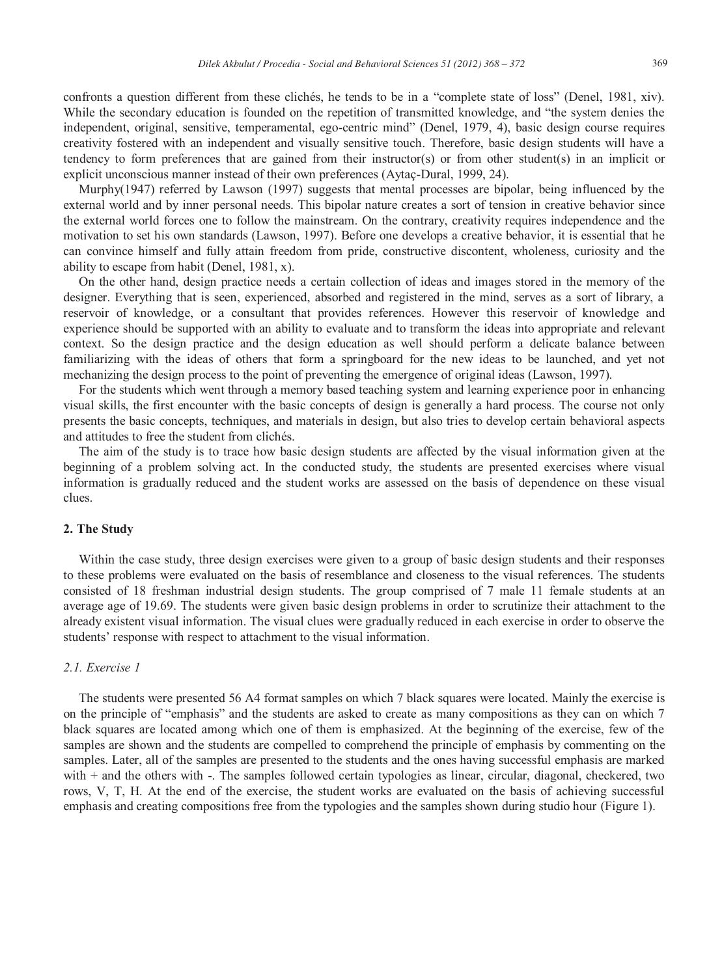confronts a question different from these clichés, he tends to be in a "complete state of loss" (Denel, 1981, xiv). While the secondary education is founded on the repetition of transmitted knowledge, and "the system denies the independent, original, sensitive, temperamental, ego-centric mind" (Denel, 1979, 4), basic design course requires creativity fostered with an independent and visually sensitive touch. Therefore, basic design students will have a tendency to form preferences that are gained from their instructor(s) or from other student(s) in an implicit or explicit unconscious manner instead of their own preferences (Aytaç-Dural, 1999, 24).

Murphy(1947) referred by Lawson (1997) suggests that mental processes are bipolar, being influenced by the external world and by inner personal needs. This bipolar nature creates a sort of tension in creative behavior since the external world forces one to follow the mainstream. On the contrary, creativity requires independence and the motivation to set his own standards (Lawson, 1997). Before one develops a creative behavior, it is essential that he can convince himself and fully attain freedom from pride, constructive discontent, wholeness, curiosity and the ability to escape from habit (Denel, 1981, x).

On the other hand, design practice needs a certain collection of ideas and images stored in the memory of the designer. Everything that is seen, experienced, absorbed and registered in the mind, serves as a sort of library, a reservoir of knowledge, or a consultant that provides references. However this reservoir of knowledge and experience should be supported with an ability to evaluate and to transform the ideas into appropriate and relevant context. So the design practice and the design education as well should perform a delicate balance between familiarizing with the ideas of others that form a springboard for the new ideas to be launched, and yet not mechanizing the design process to the point of preventing the emergence of original ideas (Lawson, 1997).

For the students which went through a memory based teaching system and learning experience poor in enhancing visual skills, the first encounter with the basic concepts of design is generally a hard process. The course not only presents the basic concepts, techniques, and materials in design, but also tries to develop certain behavioral aspects and attitudes to free the student from clichés.

The aim of the study is to trace how basic design students are affected by the visual information given at the beginning of a problem solving act. In the conducted study, the students are presented exercises where visual information is gradually reduced and the student works are assessed on the basis of dependence on these visual clues.

#### **2. The Study**

Within the case study, three design exercises were given to a group of basic design students and their responses to these problems were evaluated on the basis of resemblance and closeness to the visual references. The students consisted of 18 freshman industrial design students. The group comprised of 7 male 11 female students at an average age of 19.69. The students were given basic design problems in order to scrutinize their attachment to the already existent visual information. The visual clues were gradually reduced in each exercise in order to observe the students' response with respect to attachment to the visual information.

#### *2.1. Exercise 1*

The students were presented 56 A4 format samples on which 7 black squares were located. Mainly the exercise is on the principle of "emphasis" and the students are asked to create as many compositions as they can on which 7 black squares are located among which one of them is emphasized. At the beginning of the exercise, few of the samples are shown and the students are compelled to comprehend the principle of emphasis by commenting on the samples. Later, all of the samples are presented to the students and the ones having successful emphasis are marked with + and the others with -. The samples followed certain typologies as linear, circular, diagonal, checkered, two rows, V, T, H. At the end of the exercise, the student works are evaluated on the basis of achieving successful emphasis and creating compositions free from the typologies and the samples shown during studio hour (Figure 1).